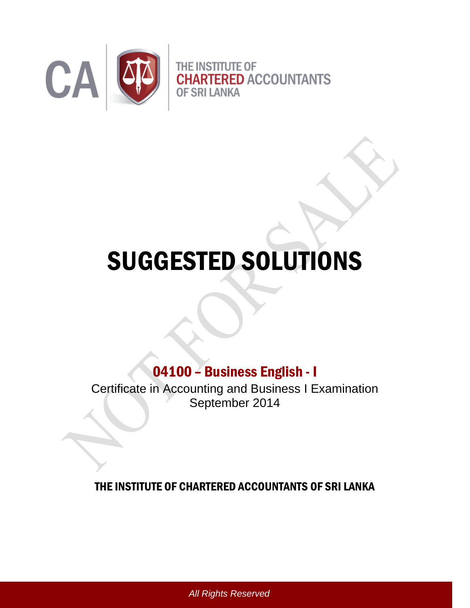

## SUGGESTED SOLUTIONS

## 04100 – Business English - I

Certificate in Accounting and Business I Examination September 2014

## THE INSTITUTE OF CHARTERED ACCOUNTANTS OF SRI LANKA

*All Rights Reserved*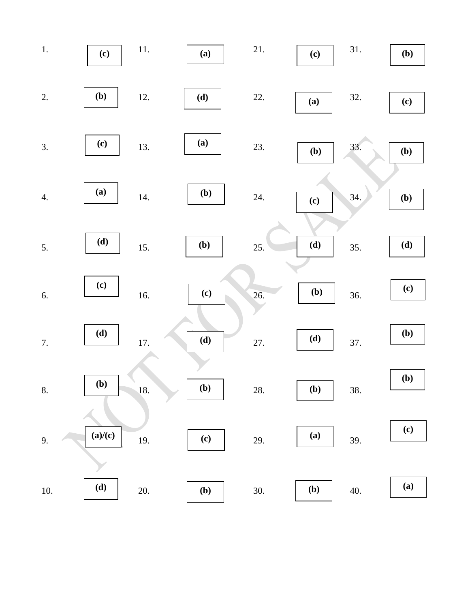| $1.$             | (c)                        | $11. \,$ | (a)                        | 21. | (c) | 31. | (b)                        |
|------------------|----------------------------|----------|----------------------------|-----|-----|-----|----------------------------|
| 2.               | (b)                        | 12.      | (d)                        | 22. | (a) | 32. | $\left( \mathbf{c}\right)$ |
| 3.               | $\left( \mathbf{c}\right)$ | 13.      | (a)                        | 23. | (b) | 33. | (b)                        |
| $\overline{4}$ . | (a)                        | 14.      | (b)                        | 24. | (c) | 34. | (b)                        |
| 5.               | (d)                        | 15.      | (b)                        | 25. | (d) | 35. | (d)                        |
| 6.               | $\left( \mathbf{c}\right)$ | 16.      | (c)                        | 26. | (b) | 36. | (c)                        |
| 7.               | (d)                        | 17.      | (d)                        | 27. | (d) | 37. | (b)                        |
| 8.               | (b)                        | 18.      | (b)                        | 28. | (b) | 38. | (b)                        |
| 9.               | (a)/(c)                    | 19.      | $\left( \mathbf{c}\right)$ | 29. | (a) | 39. | (c)                        |
| $10. \,$         | (d)                        | 20.      | (b)                        | 30. | (b) | 40. | (a)                        |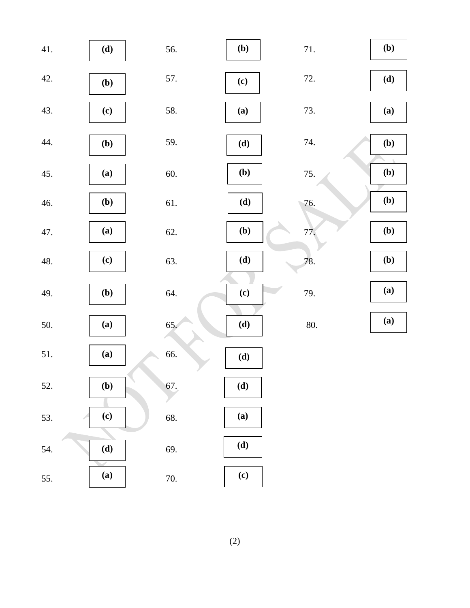| 41. | (d)                        | 56. | (b) | 71. | (b) |
|-----|----------------------------|-----|-----|-----|-----|
| 42. | (b)                        | 57. | (c) | 72. | (d) |
| 43. | (c)                        | 58. | (a) | 73. | (a) |
| 44. | (b)                        | 59. | (d) | 74. | (b) |
| 45. | (a)                        | 60. | (b) | 75. | (b) |
| 46. | ( <b>b</b> )               | 61. | (d) | 76. | (b) |
| 47. | (a)                        | 62. | (b) | 77. | (b) |
| 48. | (c)                        | 63. | (d) | 78. | (b) |
| 49. | (b)                        | 64. | (c) | 79. | (a) |
| 50. | (a)                        | 65. | (d) | 80. | (a) |
| 51. | (a)                        | 66. | (d) |     |     |
| 52. | (b)                        | 67. | (d) |     |     |
| 53. | $\left( \mathbf{c}\right)$ | 68. | (a) |     |     |
| 54. | (d)                        | 69. | (d) |     |     |
| 55. | (a)                        | 70. | (c) |     |     |